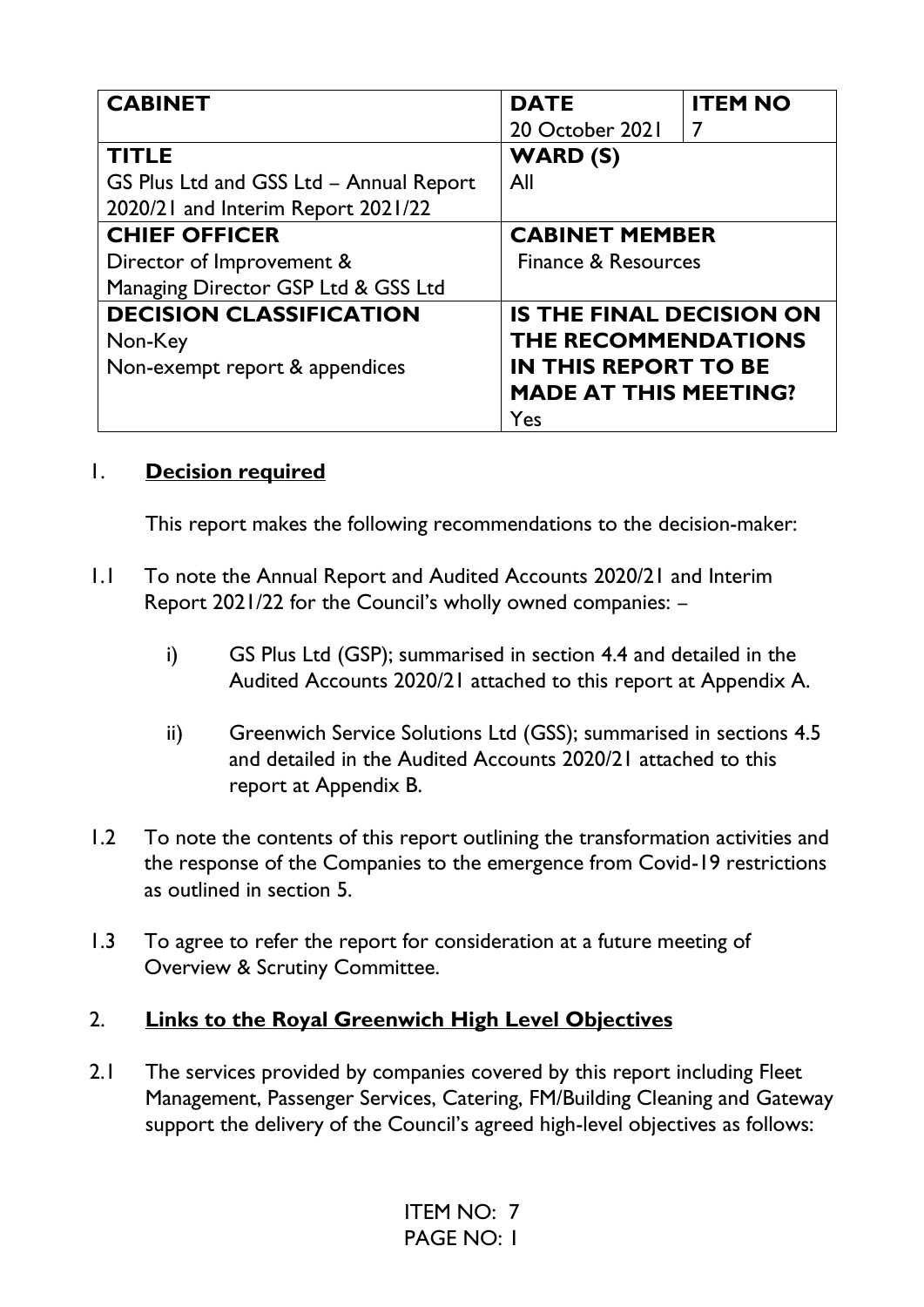| <b>CABINET</b>                          | <b>DATE</b>                     | <b>ITEM NO</b> |
|-----------------------------------------|---------------------------------|----------------|
|                                         | 20 October 2021                 | 7              |
| <b>TITLE</b>                            | <b>WARD (S)</b>                 |                |
| GS Plus Ltd and GSS Ltd - Annual Report | All                             |                |
| 2020/21 and Interim Report 2021/22      |                                 |                |
| <b>CHIEF OFFICER</b>                    | <b>CABINET MEMBER</b>           |                |
| Director of Improvement &               | Finance & Resources             |                |
| Managing Director GSP Ltd & GSS Ltd     |                                 |                |
| <b>DECISION CLASSIFICATION</b>          | <b>IS THE FINAL DECISION ON</b> |                |
| Non-Key                                 | THE RECOMMENDATIONS             |                |
| Non-exempt report & appendices          | <b>IN THIS REPORT TO BE</b>     |                |
|                                         | <b>MADE AT THIS MEETING?</b>    |                |
|                                         | Yes                             |                |

#### 1. **Decision required**

This report makes the following recommendations to the decision-maker:

- 1.1 To note the Annual Report and Audited Accounts 2020/21 and Interim Report 2021/22 for the Council's wholly owned companies: –
	- i) GS Plus Ltd (GSP); summarised in section 4.4 and detailed in the Audited Accounts 2020/21 attached to this report at Appendix A.
	- ii) Greenwich Service Solutions Ltd (GSS); summarised in sections 4.5 and detailed in the Audited Accounts 2020/21 attached to this report at Appendix B.
- 1.2 To note the contents of this report outlining the transformation activities and the response of the Companies to the emergence from Covid-19 restrictions as outlined in section 5.
- 1.3 To agree to refer the report for consideration at a future meeting of Overview & Scrutiny Committee.

#### 2. **Links to the Royal Greenwich High Level Objectives**

2.1 The services provided by companies covered by this report including Fleet Management, Passenger Services, Catering, FM/Building Cleaning and Gateway support the delivery of the Council's agreed high-level objectives as follows: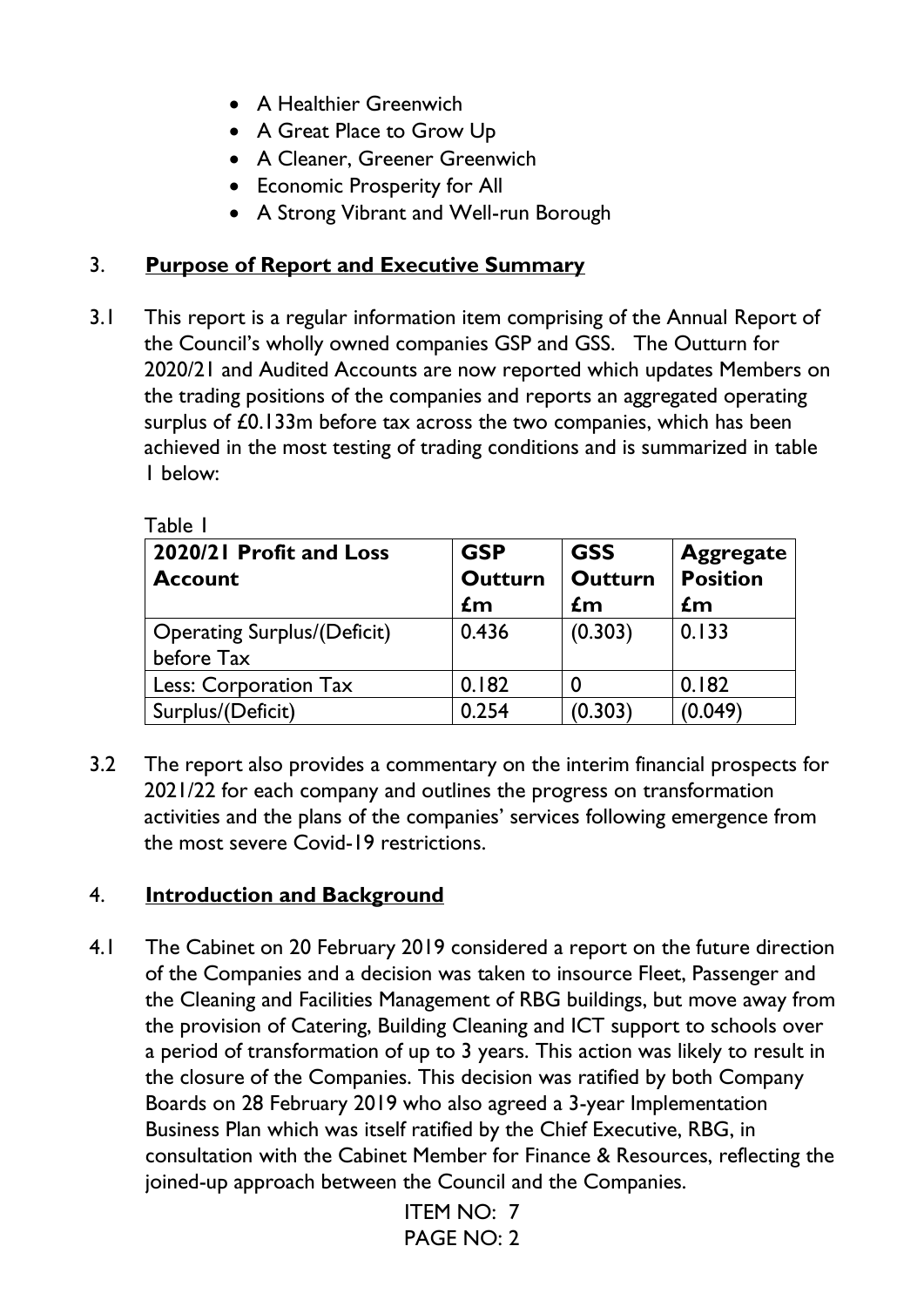- A Healthier Greenwich
- A Great Place to Grow Up
- A Cleaner, Greener Greenwich
- Economic Prosperity for All
- A Strong Vibrant and Well-run Borough

### 3. **Purpose of Report and Executive Summary**

3.1 This report is a regular information item comprising of the Annual Report of the Council's wholly owned companies GSP and GSS. The Outturn for 2020/21 and Audited Accounts are now reported which updates Members on the trading positions of the companies and reports an aggregated operating surplus of £0.133m before tax across the two companies, which has been achieved in the most testing of trading conditions and is summarized in table 1 below:

| 2020/21 Profit and Loss<br><b>Account</b>        | <b>GSP</b><br><b>Outturn</b><br>$\mathbf{f}$ m | <b>GSS</b><br><b>Outturn</b><br>$\mathbf{f}$ m | <b>Aggregate</b><br><b>Position</b><br>$\mathbf{f}$ m |
|--------------------------------------------------|------------------------------------------------|------------------------------------------------|-------------------------------------------------------|
| <b>Operating Surplus/(Deficit)</b><br>before Tax | 0.436                                          | (0.303)                                        | 0.133                                                 |
| Less: Corporation Tax                            | 0.182                                          |                                                | 0.182                                                 |
| Surplus/(Deficit)                                | 0.254                                          | (0.303)                                        | (0.049)                                               |

Table 1

3.2 The report also provides a commentary on the interim financial prospects for 2021/22 for each company and outlines the progress on transformation activities and the plans of the companies' services following emergence from the most severe Covid-19 restrictions.

## 4. **Introduction and Background**

4.1 The Cabinet on 20 February 2019 considered a report on the future direction of the Companies and a decision was taken to insource Fleet, Passenger and the Cleaning and Facilities Management of RBG buildings, but move away from the provision of Catering, Building Cleaning and ICT support to schools over a period of transformation of up to 3 years. This action was likely to result in the closure of the Companies. This decision was ratified by both Company Boards on 28 February 2019 who also agreed a 3-year Implementation Business Plan which was itself ratified by the Chief Executive, RBG, in consultation with the Cabinet Member for Finance & Resources, reflecting the joined-up approach between the Council and the Companies.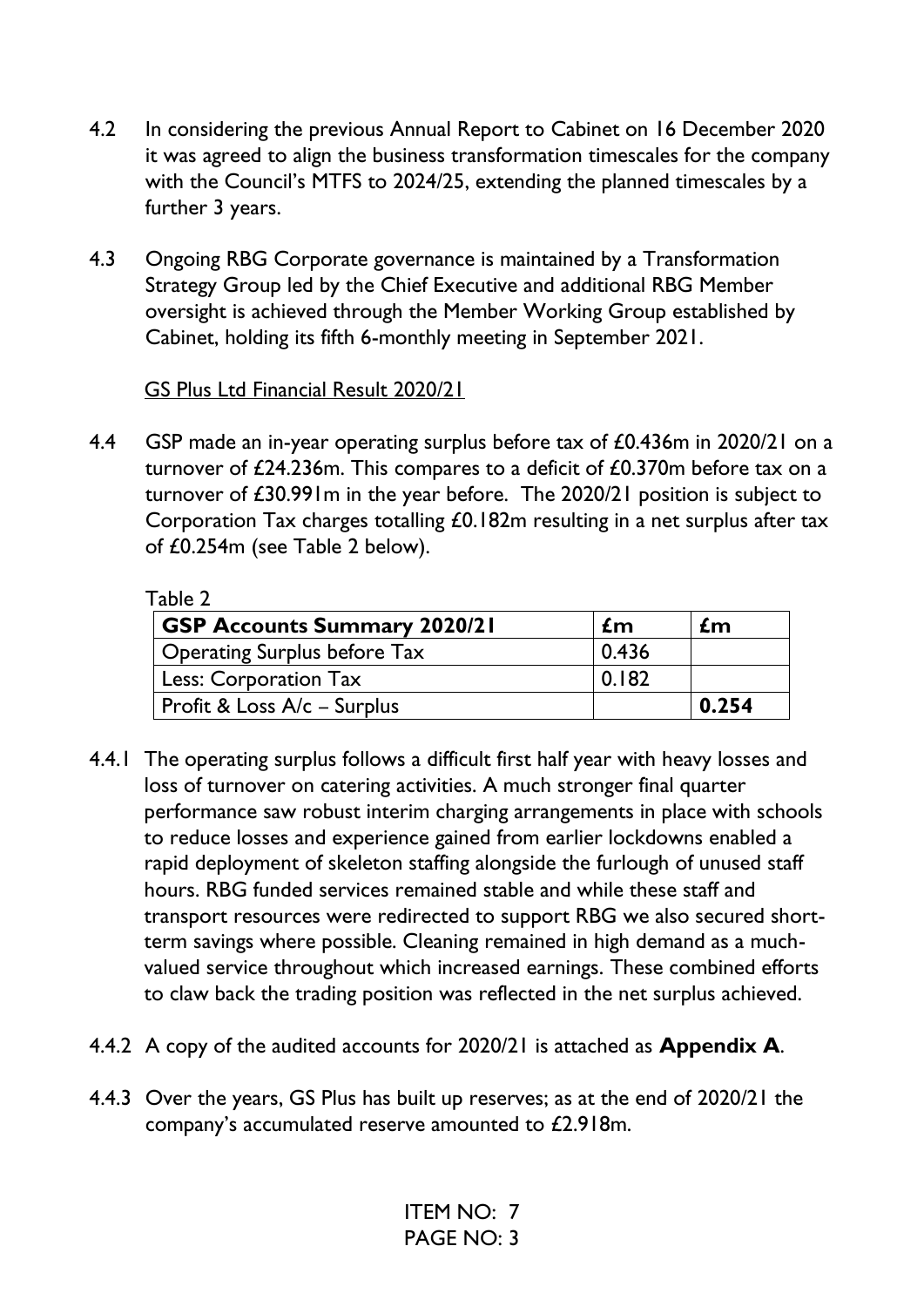- 4.2 In considering the previous Annual Report to Cabinet on 16 December 2020 it was agreed to align the business transformation timescales for the company with the Council's MTFS to 2024/25, extending the planned timescales by a further 3 years.
- 4.3 Ongoing RBG Corporate governance is maintained by a Transformation Strategy Group led by the Chief Executive and additional RBG Member oversight is achieved through the Member Working Group established by Cabinet, holding its fifth 6-monthly meeting in September 2021.

#### GS Plus Ltd Financial Result 2020/21

4.4 GSP made an in-year operating surplus before tax of £0.436m in 2020/21 on a turnover of £24.236m. This compares to a deficit of £0.370m before tax on a turnover of £30.991m in the year before. The 2020/21 position is subject to Corporation Tax charges totalling £0.182m resulting in a net surplus after tax of £0.254m (see Table 2 below).

| Table 2                             |       |       |
|-------------------------------------|-------|-------|
| <b>GSP Accounts Summary 2020/21</b> | £m    | £m    |
| <b>Operating Surplus before Tax</b> | 0.436 |       |
| <b>Less: Corporation Tax</b>        | 0.182 |       |
| Profit & Loss A/c - Surplus         |       | 0.254 |

- 4.4.1 The operating surplus follows a difficult first half year with heavy losses and loss of turnover on catering activities. A much stronger final quarter performance saw robust interim charging arrangements in place with schools to reduce losses and experience gained from earlier lockdowns enabled a rapid deployment of skeleton staffing alongside the furlough of unused staff hours. RBG funded services remained stable and while these staff and transport resources were redirected to support RBG we also secured shortterm savings where possible. Cleaning remained in high demand as a muchvalued service throughout which increased earnings. These combined efforts to claw back the trading position was reflected in the net surplus achieved.
- 4.4.2 A copy of the audited accounts for 2020/21 is attached as **Appendix A**.
- 4.4.3 Over the years, GS Plus has built up reserves; as at the end of 2020/21 the company's accumulated reserve amounted to £2.918m.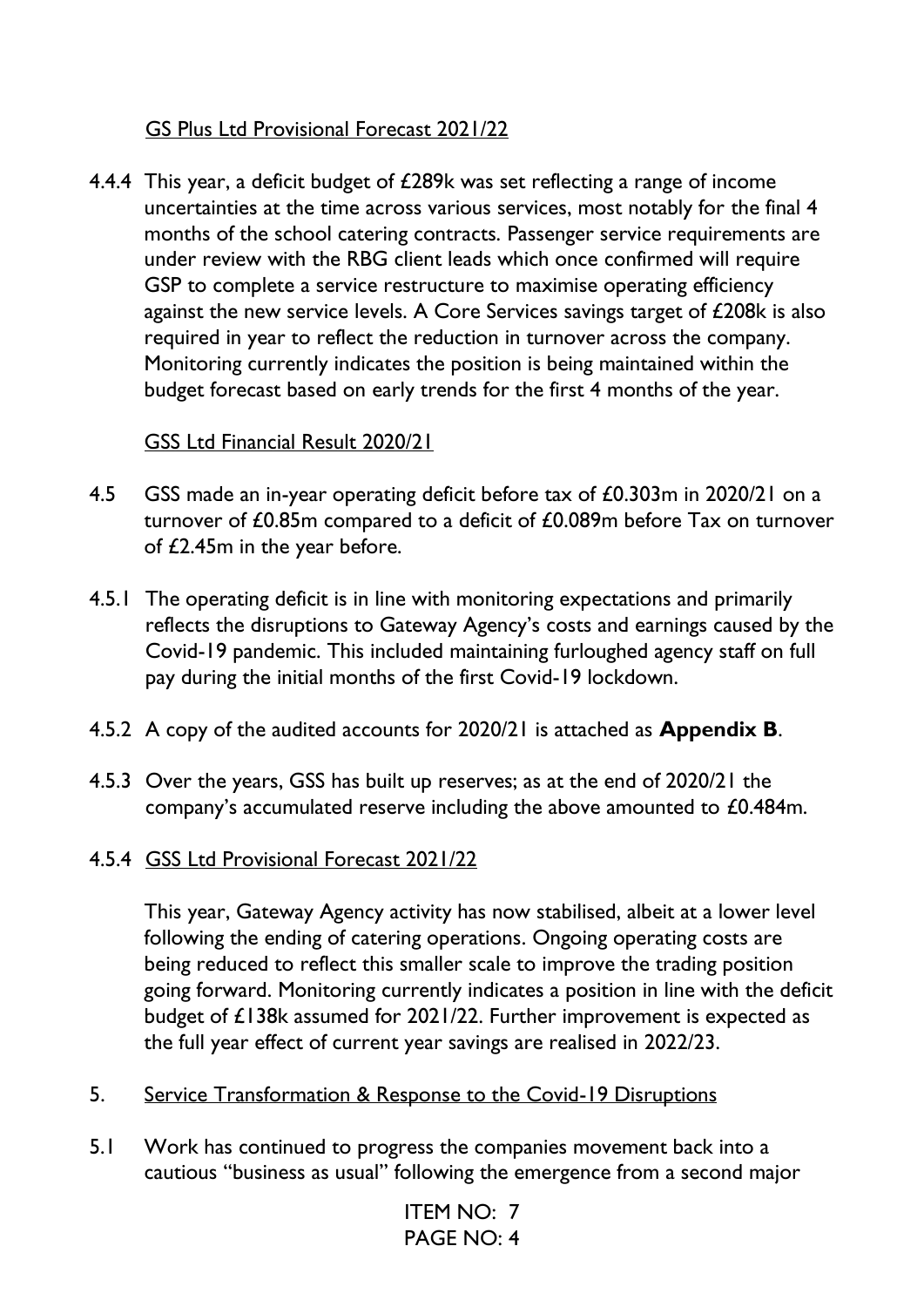### GS Plus Ltd Provisional Forecast 2021/22

4.4.4 This year, a deficit budget of £289k was set reflecting a range of income uncertainties at the time across various services, most notably for the final 4 months of the school catering contracts. Passenger service requirements are under review with the RBG client leads which once confirmed will require GSP to complete a service restructure to maximise operating efficiency against the new service levels. A Core Services savings target of £208k is also required in year to reflect the reduction in turnover across the company. Monitoring currently indicates the position is being maintained within the budget forecast based on early trends for the first 4 months of the year.

#### GSS Ltd Financial Result 2020/21

- 4.5 GSS made an in-year operating deficit before tax of £0.303m in 2020/21 on a turnover of £0.85m compared to a deficit of £0.089m before Tax on turnover of £2.45m in the year before.
- 4.5.1 The operating deficit is in line with monitoring expectations and primarily reflects the disruptions to Gateway Agency's costs and earnings caused by the Covid-19 pandemic. This included maintaining furloughed agency staff on full pay during the initial months of the first Covid-19 lockdown.
- 4.5.2 A copy of the audited accounts for 2020/21 is attached as **Appendix B**.
- 4.5.3 Over the years, GSS has built up reserves; as at the end of 2020/21 the company's accumulated reserve including the above amounted to £0.484m.
- 4.5.4 GSS Ltd Provisional Forecast 2021/22

This year, Gateway Agency activity has now stabilised, albeit at a lower level following the ending of catering operations. Ongoing operating costs are being reduced to reflect this smaller scale to improve the trading position going forward. Monitoring currently indicates a position in line with the deficit budget of £138k assumed for 2021/22. Further improvement is expected as the full year effect of current year savings are realised in 2022/23.

- 5. Service Transformation & Response to the Covid-19 Disruptions
- 5.1 Work has continued to progress the companies movement back into a cautious "business as usual" following the emergence from a second major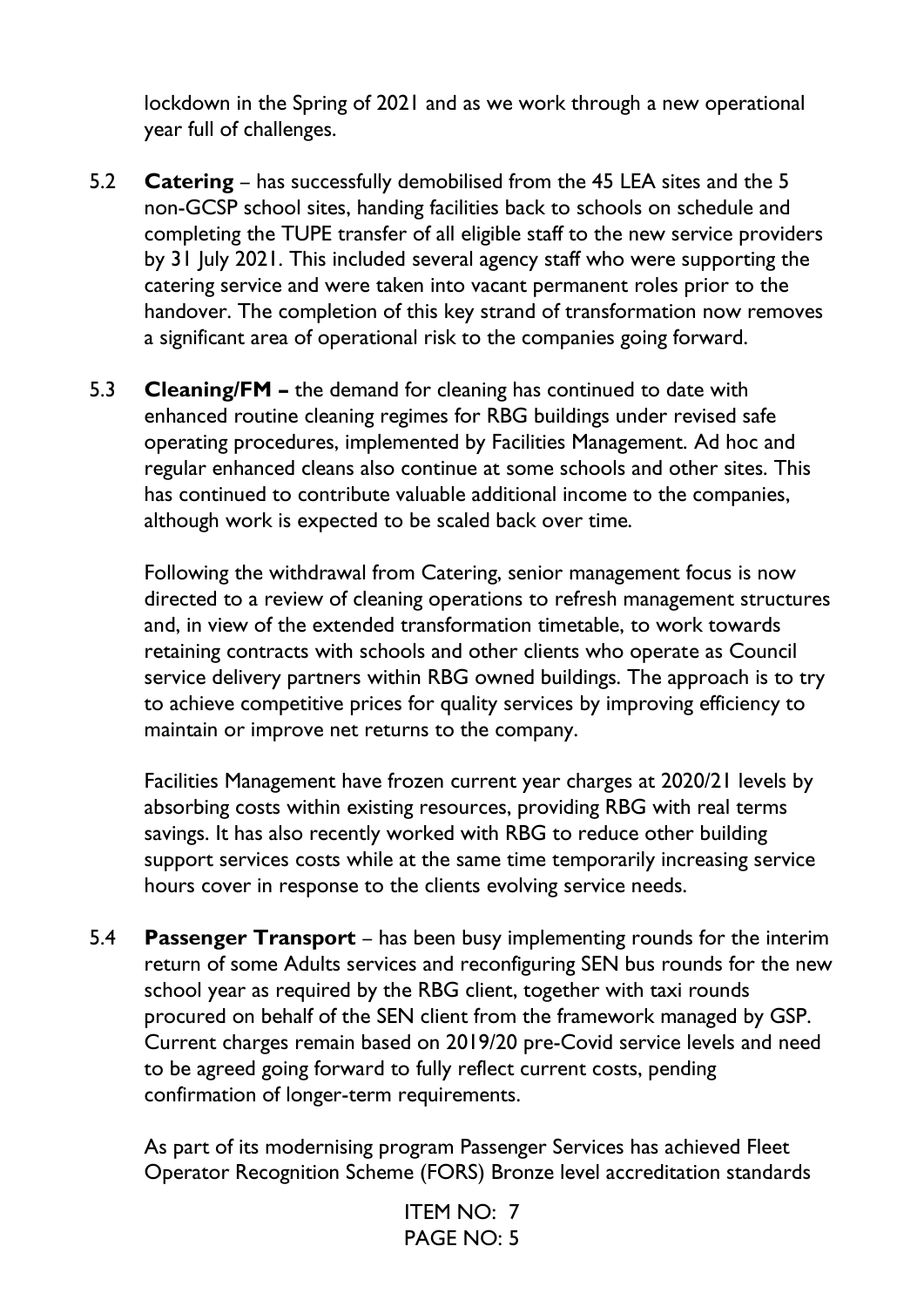lockdown in the Spring of 2021 and as we work through a new operational year full of challenges.

- 5.2 **Catering** has successfully demobilised from the 45 LEA sites and the 5 non-GCSP school sites, handing facilities back to schools on schedule and completing the TUPE transfer of all eligible staff to the new service providers by 31 July 2021. This included several agency staff who were supporting the catering service and were taken into vacant permanent roles prior to the handover. The completion of this key strand of transformation now removes a significant area of operational risk to the companies going forward.
- 5.3 **Cleaning/FM –** the demand for cleaning has continued to date with enhanced routine cleaning regimes for RBG buildings under revised safe operating procedures, implemented by Facilities Management. Ad hoc and regular enhanced cleans also continue at some schools and other sites. This has continued to contribute valuable additional income to the companies, although work is expected to be scaled back over time.

Following the withdrawal from Catering, senior management focus is now directed to a review of cleaning operations to refresh management structures and, in view of the extended transformation timetable, to work towards retaining contracts with schools and other clients who operate as Council service delivery partners within RBG owned buildings. The approach is to try to achieve competitive prices for quality services by improving efficiency to maintain or improve net returns to the company.

Facilities Management have frozen current year charges at 2020/21 levels by absorbing costs within existing resources, providing RBG with real terms savings. It has also recently worked with RBG to reduce other building support services costs while at the same time temporarily increasing service hours cover in response to the clients evolving service needs.

5.4 **Passenger Transport** – has been busy implementing rounds for the interim return of some Adults services and reconfiguring SEN bus rounds for the new school year as required by the RBG client, together with taxi rounds procured on behalf of the SEN client from the framework managed by GSP. Current charges remain based on 2019/20 pre-Covid service levels and need to be agreed going forward to fully reflect current costs, pending confirmation of longer-term requirements.

As part of its modernising program Passenger Services has achieved Fleet Operator Recognition Scheme (FORS) Bronze level accreditation standards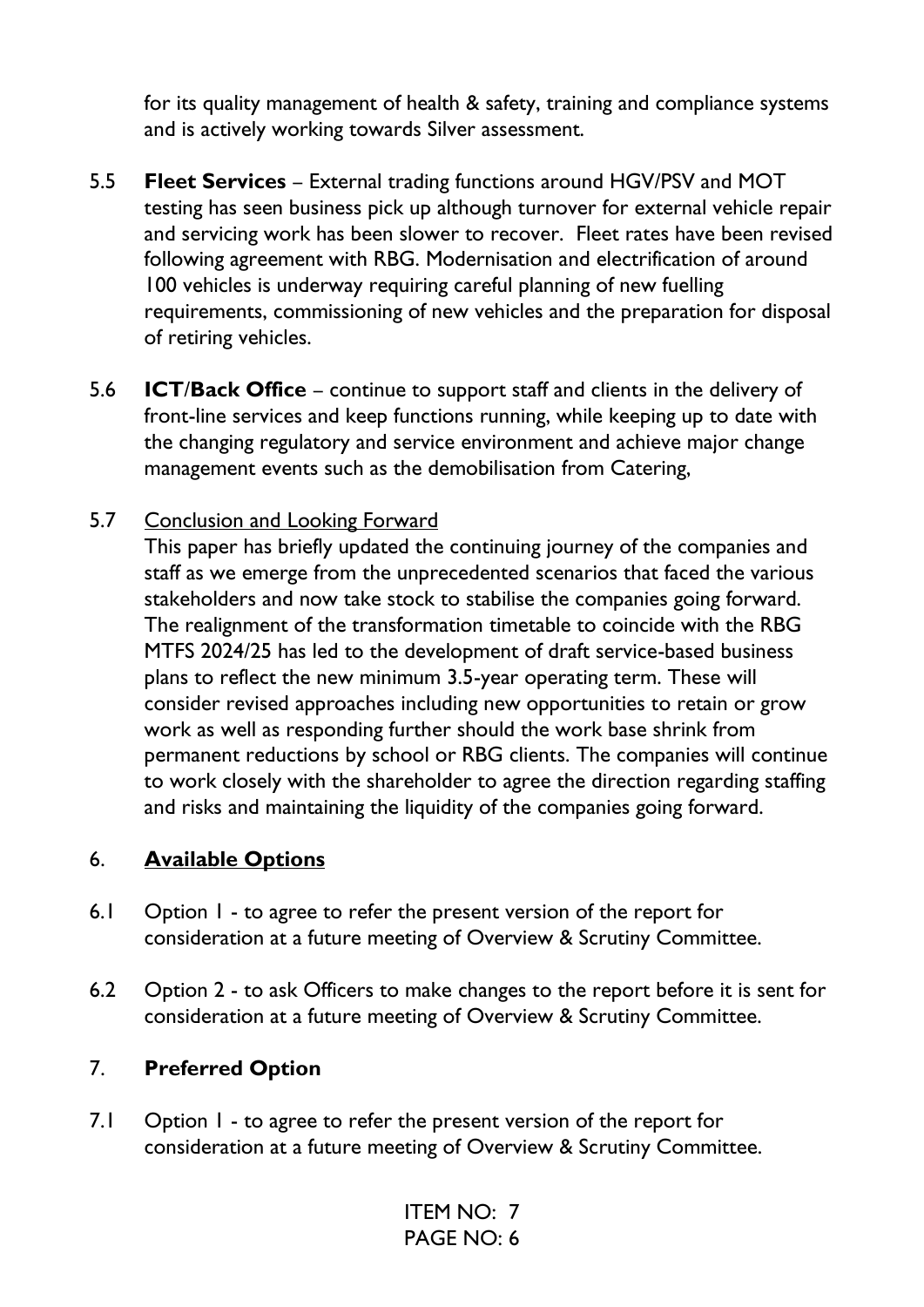for its quality management of health & safety, training and compliance systems and is actively working towards Silver assessment.

- 5.5 **Fleet Services** External trading functions around HGV/PSV and MOT testing has seen business pick up although turnover for external vehicle repair and servicing work has been slower to recover. Fleet rates have been revised following agreement with RBG. Modernisation and electrification of around 100 vehicles is underway requiring careful planning of new fuelling requirements, commissioning of new vehicles and the preparation for disposal of retiring vehicles.
- 5.6 **ICT**/**Back Office** continue to support staff and clients in the delivery of front-line services and keep functions running, while keeping up to date with the changing regulatory and service environment and achieve major change management events such as the demobilisation from Catering,

#### 5.7 Conclusion and Looking Forward

This paper has briefly updated the continuing journey of the companies and staff as we emerge from the unprecedented scenarios that faced the various stakeholders and now take stock to stabilise the companies going forward. The realignment of the transformation timetable to coincide with the RBG MTFS 2024/25 has led to the development of draft service-based business plans to reflect the new minimum 3.5-year operating term. These will consider revised approaches including new opportunities to retain or grow work as well as responding further should the work base shrink from permanent reductions by school or RBG clients. The companies will continue to work closely with the shareholder to agree the direction regarding staffing and risks and maintaining the liquidity of the companies going forward.

#### 6. **Available Options**

- 6.1 Option 1 to agree to refer the present version of the report for consideration at a future meeting of Overview & Scrutiny Committee.
- 6.2 Option 2 to ask Officers to make changes to the report before it is sent for consideration at a future meeting of Overview & Scrutiny Committee.

#### 7. **Preferred Option**

7.1 Option 1 - to agree to refer the present version of the report for consideration at a future meeting of Overview & Scrutiny Committee.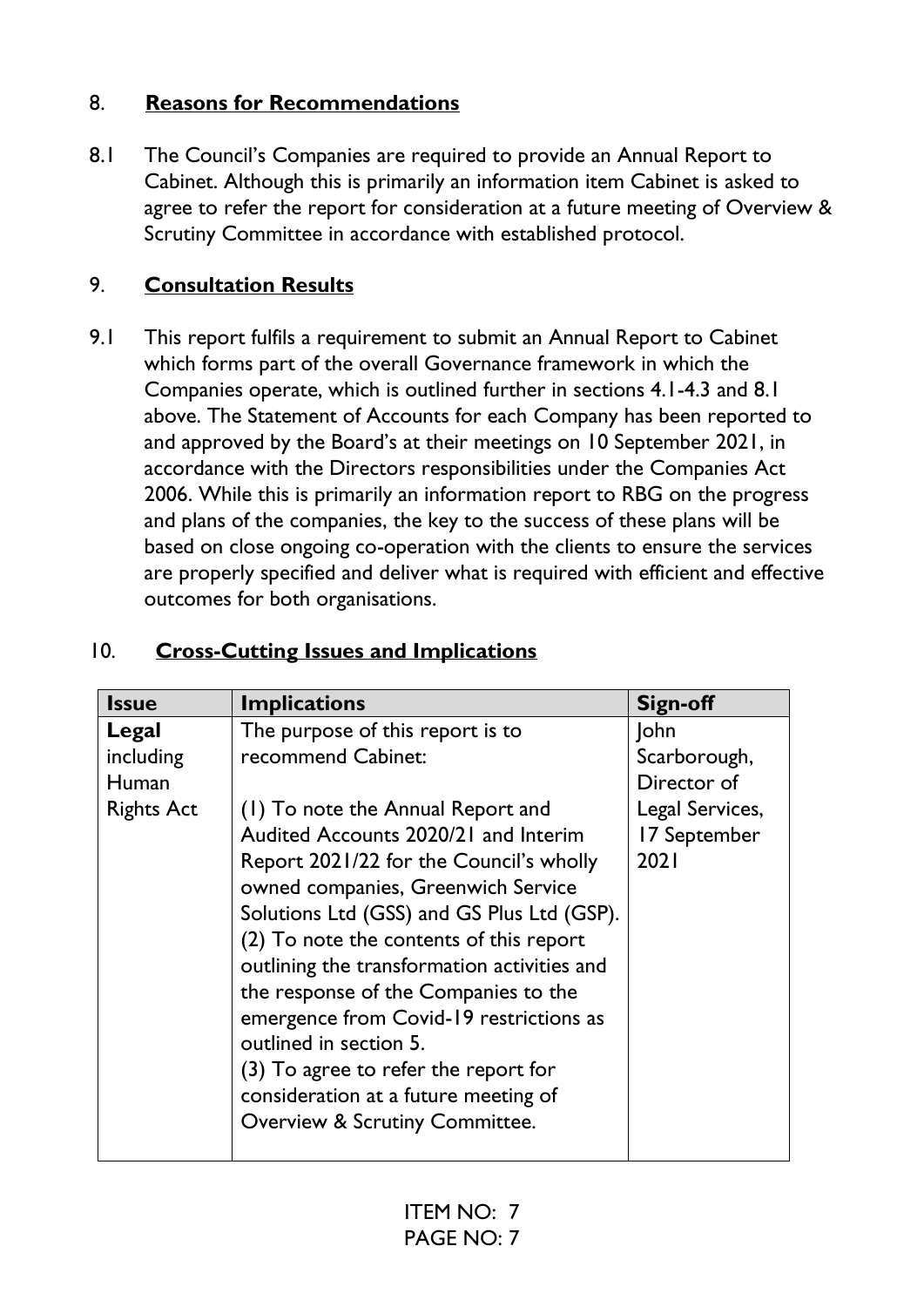## 8. **Reasons for Recommendations**

8.1 The Council's Companies are required to provide an Annual Report to Cabinet. Although this is primarily an information item Cabinet is asked to agree to refer the report for consideration at a future meeting of Overview & Scrutiny Committee in accordance with established protocol.

## 9. **Consultation Results**

9.1 This report fulfils a requirement to submit an Annual Report to Cabinet which forms part of the overall Governance framework in which the Companies operate, which is outlined further in sections 4.1-4.3 and 8.1 above. The Statement of Accounts for each Company has been reported to and approved by the Board's at their meetings on 10 September 2021, in accordance with the Directors responsibilities under the Companies Act 2006. While this is primarily an information report to RBG on the progress and plans of the companies, the key to the success of these plans will be based on close ongoing co-operation with the clients to ensure the services are properly specified and deliver what is required with efficient and effective outcomes for both organisations.

| <b>Issue</b>      | <b>Implications</b>                         | <b>Sign-off</b> |
|-------------------|---------------------------------------------|-----------------|
| Legal             | The purpose of this report is to            | <b>John</b>     |
| including         | recommend Cabinet:                          | Scarborough,    |
| Human             |                                             | Director of     |
| <b>Rights Act</b> | (1) To note the Annual Report and           | Legal Services, |
|                   | Audited Accounts 2020/21 and Interim        | 17 September    |
|                   | Report 2021/22 for the Council's wholly     | 2021            |
|                   | owned companies, Greenwich Service          |                 |
|                   | Solutions Ltd (GSS) and GS Plus Ltd (GSP).  |                 |
|                   | (2) To note the contents of this report     |                 |
|                   | outlining the transformation activities and |                 |
|                   | the response of the Companies to the        |                 |
|                   | emergence from Covid-19 restrictions as     |                 |
|                   | outlined in section 5.                      |                 |
|                   | (3) To agree to refer the report for        |                 |
|                   | consideration at a future meeting of        |                 |
|                   | <b>Overview &amp; Scrutiny Committee.</b>   |                 |
|                   |                                             |                 |

## 10. **Cross-Cutting Issues and Implications**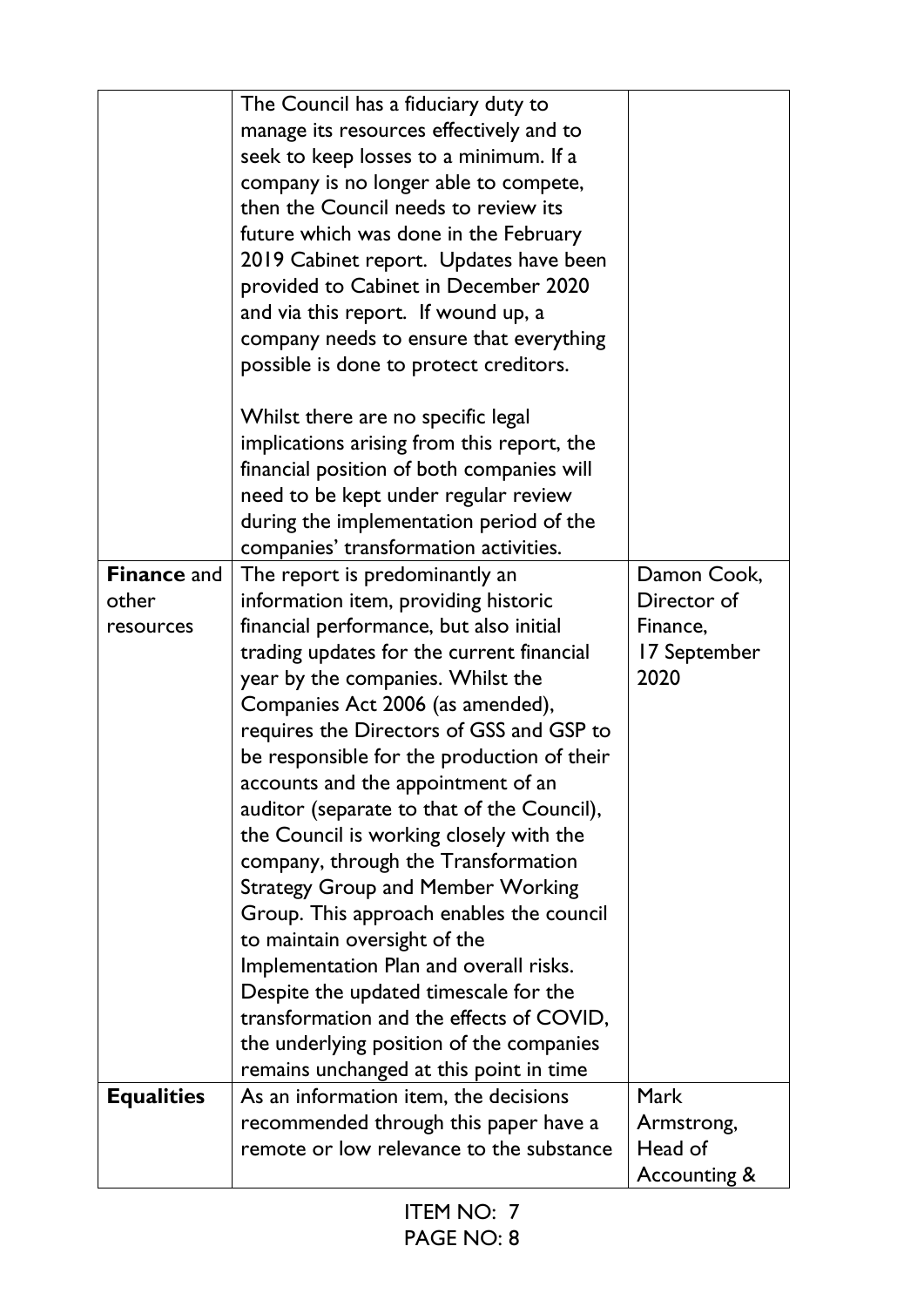|                    | The Council has a fiduciary duty to        |                         |
|--------------------|--------------------------------------------|-------------------------|
|                    | manage its resources effectively and to    |                         |
|                    | seek to keep losses to a minimum. If a     |                         |
|                    | company is no longer able to compete,      |                         |
|                    | then the Council needs to review its       |                         |
|                    | future which was done in the February      |                         |
|                    | 2019 Cabinet report. Updates have been     |                         |
|                    | provided to Cabinet in December 2020       |                         |
|                    | and via this report. If wound up, a        |                         |
|                    | company needs to ensure that everything    |                         |
|                    | possible is done to protect creditors.     |                         |
|                    | Whilst there are no specific legal         |                         |
|                    | implications arising from this report, the |                         |
|                    | financial position of both companies will  |                         |
|                    | need to be kept under regular review       |                         |
|                    | during the implementation period of the    |                         |
|                    | companies' transformation activities.      |                         |
| <b>Finance and</b> | The report is predominantly an             | Damon Cook,             |
| other              | information item, providing historic       | Director of             |
| resources          | financial performance, but also initial    | Finance,                |
|                    | trading updates for the current financial  | 17 September            |
|                    | year by the companies. Whilst the          | 2020                    |
|                    | Companies Act 2006 (as amended),           |                         |
|                    | requires the Directors of GSS and GSP to   |                         |
|                    | be responsible for the production of their |                         |
|                    | accounts and the appointment of an         |                         |
|                    | auditor (separate to that of the Council), |                         |
|                    | the Council is working closely with the    |                         |
|                    | company, through the Transformation        |                         |
|                    | <b>Strategy Group and Member Working</b>   |                         |
|                    | Group. This approach enables the council   |                         |
|                    | to maintain oversight of the               |                         |
|                    | Implementation Plan and overall risks.     |                         |
|                    | Despite the updated timescale for the      |                         |
|                    | transformation and the effects of COVID,   |                         |
|                    | the underlying position of the companies   |                         |
|                    | remains unchanged at this point in time    |                         |
| <b>Equalities</b>  | As an information item, the decisions      | <b>Mark</b>             |
|                    | recommended through this paper have a      | Armstrong,              |
|                    |                                            |                         |
|                    |                                            |                         |
|                    | remote or low relevance to the substance   | Head of<br>Accounting & |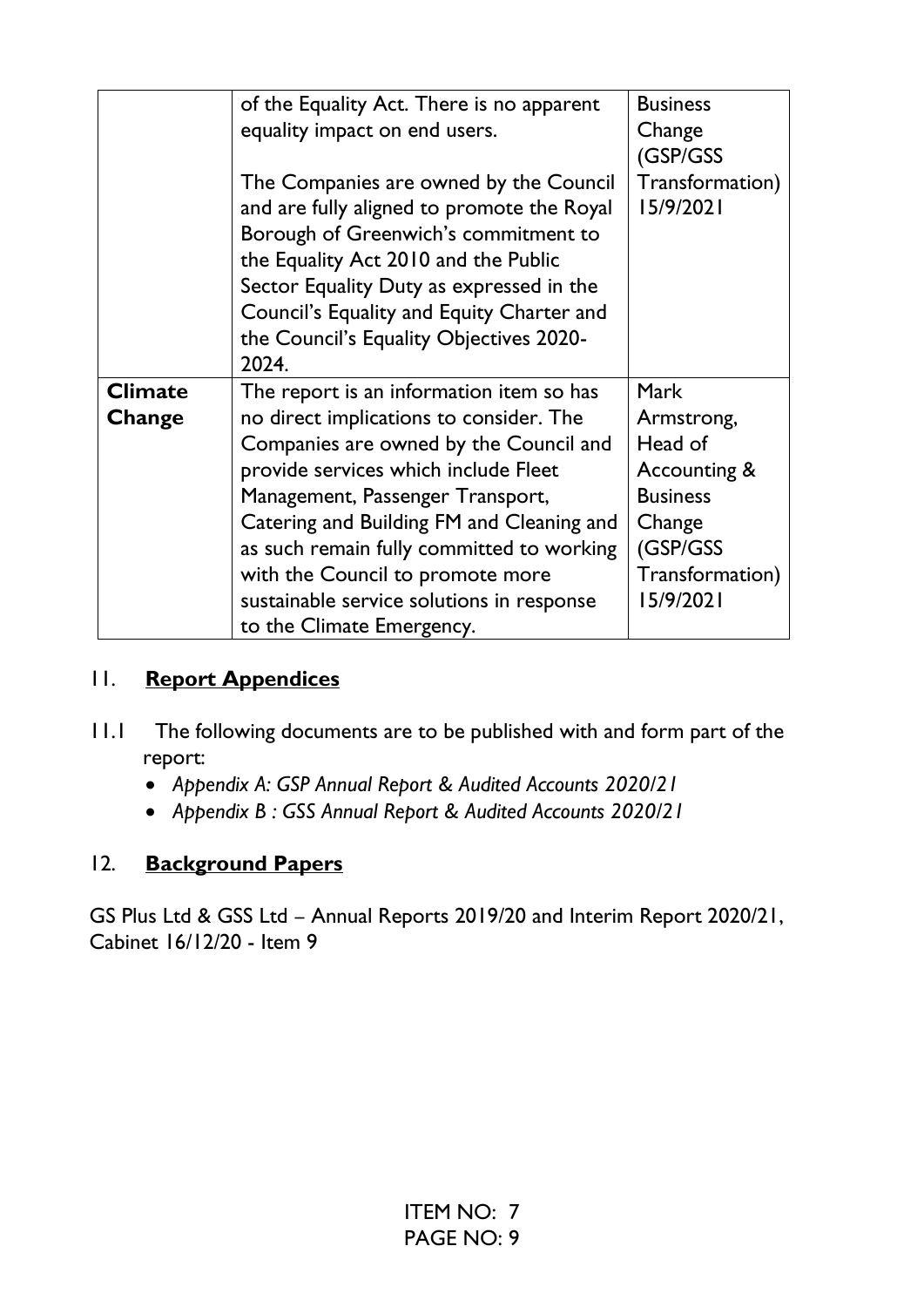|                | of the Equality Act. There is no apparent  | <b>Business</b> |
|----------------|--------------------------------------------|-----------------|
|                | equality impact on end users.              | Change          |
|                |                                            | (GSP/GSS        |
|                | The Companies are owned by the Council     | Transformation) |
|                | and are fully aligned to promote the Royal | 15/9/2021       |
|                | Borough of Greenwich's commitment to       |                 |
|                | the Equality Act 2010 and the Public       |                 |
|                | Sector Equality Duty as expressed in the   |                 |
|                | Council's Equality and Equity Charter and  |                 |
|                | the Council's Equality Objectives 2020-    |                 |
|                | 2024.                                      |                 |
| <b>Climate</b> | The report is an information item so has   | <b>Mark</b>     |
| Change         | no direct implications to consider. The    | Armstrong,      |
|                | Companies are owned by the Council and     | Head of         |
|                | provide services which include Fleet       | Accounting &    |
|                | Management, Passenger Transport,           | <b>Business</b> |
|                | Catering and Building FM and Cleaning and  | Change          |
|                | as such remain fully committed to working  | (GSP/GSS        |
|                | with the Council to promote more           | Transformation) |
|                | sustainable service solutions in response  | 15/9/2021       |
|                | to the Climate Emergency.                  |                 |

## 11. **Report Appendices**

- 11.1 The following documents are to be published with and form part of the report:
	- *Appendix A: GSP Annual Report & Audited Accounts 2020/21*
	- *Appendix B : GSS Annual Report & Audited Accounts 2020/21*

# 12. **Background Papers**

GS Plus Ltd & GSS Ltd – Annual Reports 2019/20 and Interim Report 2020/21, Cabinet 16/12/20 - Item 9